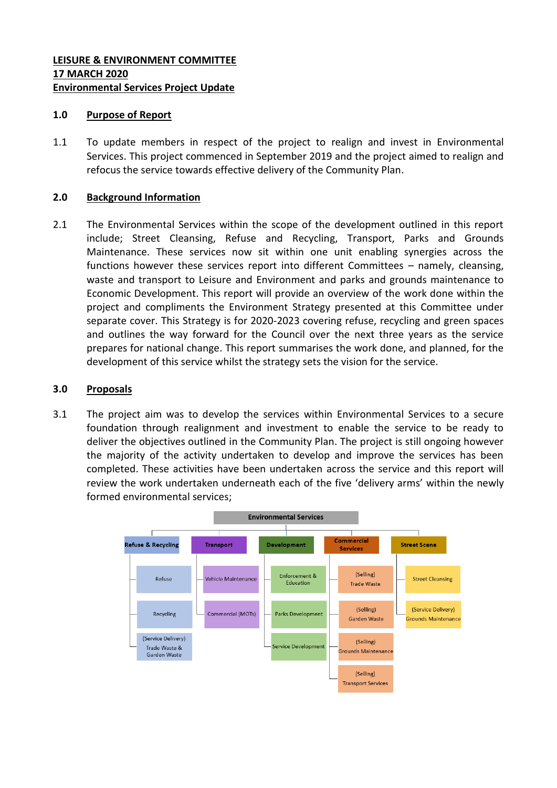## **LEISURE & ENVIRONMENT COMMITTEE 17 MARCH 2020 Environmental Services Project Update**

### **1.0 Purpose of Report**

1.1 To update members in respect of the project to realign and invest in Environmental Services. This project commenced in September 2019 and the project aimed to realign and refocus the service towards effective delivery of the Community Plan.

## **2.0 Background Information**

2.1 The Environmental Services within the scope of the development outlined in this report include; Street Cleansing, Refuse and Recycling, Transport, Parks and Grounds Maintenance. These services now sit within one unit enabling synergies across the functions however these services report into different Committees – namely, cleansing, waste and transport to Leisure and Environment and parks and grounds maintenance to Economic Development. This report will provide an overview of the work done within the project and compliments the Environment Strategy presented at this Committee under separate cover. This Strategy is for 2020-2023 covering refuse, recycling and green spaces and outlines the way forward for the Council over the next three years as the service prepares for national change. This report summarises the work done, and planned, for the development of this service whilst the strategy sets the vision for the service.

### **3.0 Proposals**

3.1 The project aim was to develop the services within Environmental Services to a secure foundation through realignment and investment to enable the service to be ready to deliver the objectives outlined in the Community Plan. The project is still ongoing however the majority of the activity undertaken to develop and improve the services has been completed. These activities have been undertaken across the service and this report will review the work undertaken underneath each of the five 'delivery arms' within the newly formed environmental services;

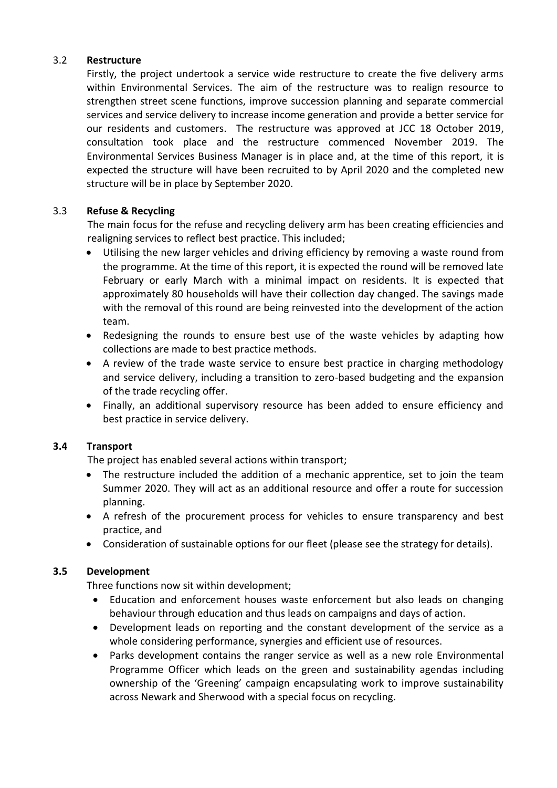## 3.2 **Restructure**

Firstly, the project undertook a service wide restructure to create the five delivery arms within Environmental Services. The aim of the restructure was to realign resource to strengthen street scene functions, improve succession planning and separate commercial services and service delivery to increase income generation and provide a better service for our residents and customers. The restructure was approved at JCC 18 October 2019, consultation took place and the restructure commenced November 2019. The Environmental Services Business Manager is in place and, at the time of this report, it is expected the structure will have been recruited to by April 2020 and the completed new structure will be in place by September 2020.

# 3.3 **Refuse & Recycling**

The main focus for the refuse and recycling delivery arm has been creating efficiencies and realigning services to reflect best practice. This included;

- Utilising the new larger vehicles and driving efficiency by removing a waste round from the programme. At the time of this report, it is expected the round will be removed late February or early March with a minimal impact on residents. It is expected that approximately 80 households will have their collection day changed. The savings made with the removal of this round are being reinvested into the development of the action team.
- Redesigning the rounds to ensure best use of the waste vehicles by adapting how collections are made to best practice methods.
- A review of the trade waste service to ensure best practice in charging methodology and service delivery, including a transition to zero-based budgeting and the expansion of the trade recycling offer.
- Finally, an additional supervisory resource has been added to ensure efficiency and best practice in service delivery.

# **3.4 Transport**

The project has enabled several actions within transport;

- The restructure included the addition of a mechanic apprentice, set to join the team Summer 2020. They will act as an additional resource and offer a route for succession planning.
- A refresh of the procurement process for vehicles to ensure transparency and best practice, and
- Consideration of sustainable options for our fleet (please see the strategy for details).

# **3.5 Development**

Three functions now sit within development;

- Education and enforcement houses waste enforcement but also leads on changing behaviour through education and thus leads on campaigns and days of action.
- Development leads on reporting and the constant development of the service as a whole considering performance, synergies and efficient use of resources.
- Parks development contains the ranger service as well as a new role Environmental Programme Officer which leads on the green and sustainability agendas including ownership of the 'Greening' campaign encapsulating work to improve sustainability across Newark and Sherwood with a special focus on recycling.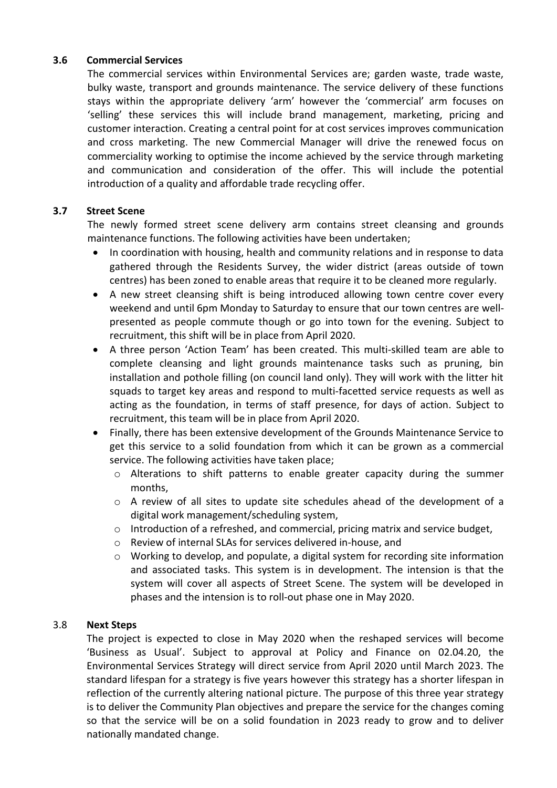## **3.6 Commercial Services**

The commercial services within Environmental Services are; garden waste, trade waste, bulky waste, transport and grounds maintenance. The service delivery of these functions stays within the appropriate delivery 'arm' however the 'commercial' arm focuses on 'selling' these services this will include brand management, marketing, pricing and customer interaction. Creating a central point for at cost services improves communication and cross marketing. The new Commercial Manager will drive the renewed focus on commerciality working to optimise the income achieved by the service through marketing and communication and consideration of the offer. This will include the potential introduction of a quality and affordable trade recycling offer.

## **3.7 Street Scene**

The newly formed street scene delivery arm contains street cleansing and grounds maintenance functions. The following activities have been undertaken;

- In coordination with housing, health and community relations and in response to data gathered through the Residents Survey, the wider district (areas outside of town centres) has been zoned to enable areas that require it to be cleaned more regularly.
- A new street cleansing shift is being introduced allowing town centre cover every weekend and until 6pm Monday to Saturday to ensure that our town centres are wellpresented as people commute though or go into town for the evening. Subject to recruitment, this shift will be in place from April 2020.
- A three person 'Action Team' has been created. This multi-skilled team are able to complete cleansing and light grounds maintenance tasks such as pruning, bin installation and pothole filling (on council land only). They will work with the litter hit squads to target key areas and respond to multi-facetted service requests as well as acting as the foundation, in terms of staff presence, for days of action. Subject to recruitment, this team will be in place from April 2020.
- Finally, there has been extensive development of the Grounds Maintenance Service to get this service to a solid foundation from which it can be grown as a commercial service. The following activities have taken place;
	- o Alterations to shift patterns to enable greater capacity during the summer months,
	- o A review of all sites to update site schedules ahead of the development of a digital work management/scheduling system,
	- $\circ$  Introduction of a refreshed, and commercial, pricing matrix and service budget,
	- o Review of internal SLAs for services delivered in-house, and
	- $\circ$  Working to develop, and populate, a digital system for recording site information and associated tasks. This system is in development. The intension is that the system will cover all aspects of Street Scene. The system will be developed in phases and the intension is to roll-out phase one in May 2020.

# 3.8 **Next Steps**

The project is expected to close in May 2020 when the reshaped services will become 'Business as Usual'. Subject to approval at Policy and Finance on 02.04.20, the Environmental Services Strategy will direct service from April 2020 until March 2023. The standard lifespan for a strategy is five years however this strategy has a shorter lifespan in reflection of the currently altering national picture. The purpose of this three year strategy is to deliver the Community Plan objectives and prepare the service for the changes coming so that the service will be on a solid foundation in 2023 ready to grow and to deliver nationally mandated change.